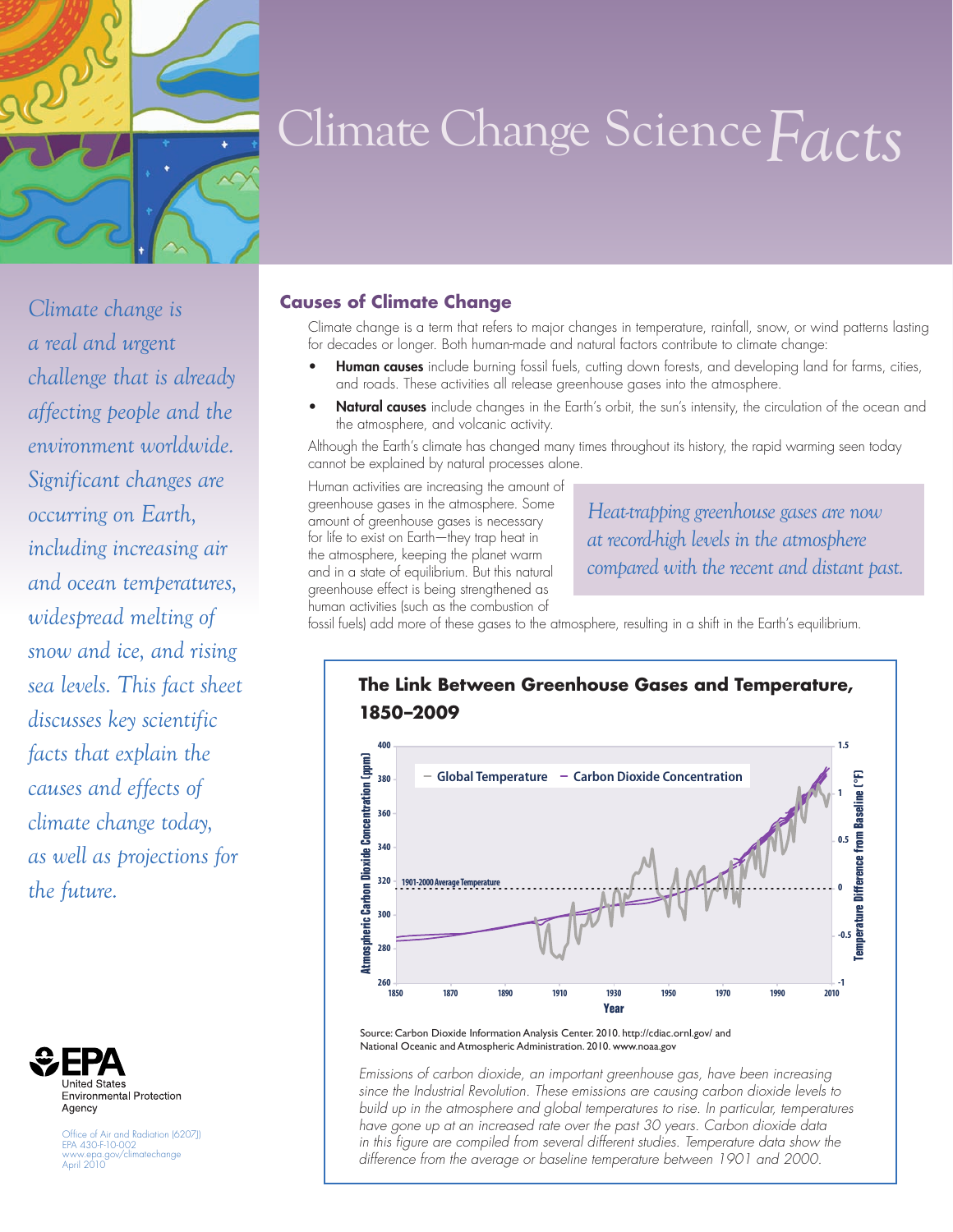

# Climate Change Science*Facts*

*Climate change is a real and urgent challenge that is already affecting people and the environment worldwide. Significant changes are occurring on Earth, including increasing air and ocean temperatures, widespread melting of snow and ice, and rising sea levels. This fact sheet discusses key scientific facts that explain the causes and effects of climate change today, as well as projections for the future.*



Office of Air and Radiation (6207J) EPA 430-F-10-002 www.epa.gov/climatechange April 2010

#### **Causes of Climate Change**

Climate change is a term that refers to major changes in temperature, rainfall, snow, or wind patterns lasting for decades or longer. Both human-made and natural factors contribute to climate change:

- Human causes include burning fossil fuels, cutting down forests, and developing land for farms, cities, and roads. These activities all release greenhouse gases into the atmosphere.
- Natural causes include changes in the Earth's orbit, the sun's intensity, the circulation of the ocean and the atmosphere, and volcanic activity.

Although the Earth's climate has changed many times throughout its history, the rapid warming seen today cannot be explained by natural processes alone.

Human activities are increasing the amount of greenhouse gases in the atmosphere. Some amount of greenhouse gases is necessary for life to exist on Earth—they trap heat in the atmosphere, keeping the planet warm and in a state of equilibrium. But this natural greenhouse effect is being strengthened as human activities (such as the combustion of

*Heat-trapping greenhouse gases are now at record-high levels in the atmosphere compared with the recent and distant past.*

fossil fuels) add more of these gases to the atmosphere, resulting in a shift in the Earth's equilibrium.



Source: Carbon Dioxide Information Analysis Center. 2010. http://cdiac.ornl.gov/ and National Oceanic and Atmospheric Administration. 2010. [www.noaa.gov](http://www.noaa.gov)

*Emissions of carbon dioxide, an important greenhouse gas, have been increasing since the Industrial Revolution. These emissions are causing carbon dioxide levels to build up in the atmosphere and global temperatures to rise. In particular, temperatures have gone up at an increased rate over the past 30 years. Carbon dioxide data*  in this figure are compiled from several different studies. Temperature data show the difference from the average or baseline temperature between 1901 and 2000.